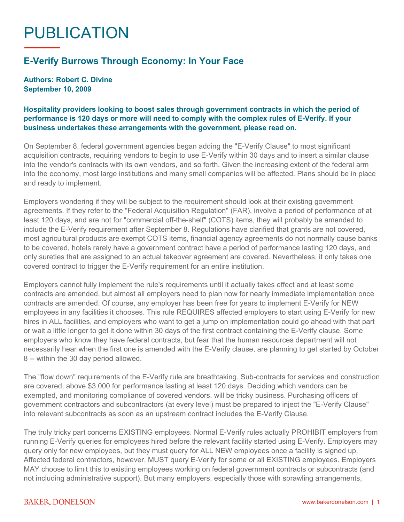## PUBLICATION

## **E-Verify Burrows Through Economy: In Your Face**

**Authors: Robert C. Divine September 10, 2009**

## **Hospitality providers looking to boost sales through government contracts in which the period of performance is 120 days or more will need to comply with the complex rules of E-Verify. If your business undertakes these arrangements with the government, please read on.**

On September 8, federal government agencies began adding the "E-Verify Clause" to most significant acquisition contracts, requiring vendors to begin to use E-Verify within 30 days and to insert a similar clause into the vendor's contracts with its own vendors, and so forth. Given the increasing extent of the federal arm into the economy, most large institutions and many small companies will be affected. Plans should be in place and ready to implement.

Employers wondering if they will be subject to the requirement should look at their existing government agreements. If they refer to the "Federal Acquisition Regulation" (FAR), involve a period of performance of at least 120 days, and are not for "commercial off-the-shelf" (COTS) items, they will probably be amended to include the E-Verify requirement after September 8. Regulations have clarified that grants are not covered, most agricultural products are exempt COTS items, financial agency agreements do not normally cause banks to be covered, hotels rarely have a government contract have a period of performance lasting 120 days, and only sureties that are assigned to an actual takeover agreement are covered. Nevertheless, it only takes one covered contract to trigger the E-Verify requirement for an entire institution.

Employers cannot fully implement the rule's requirements until it actually takes effect and at least some contracts are amended, but almost all employers need to plan now for nearly immediate implementation once contracts are amended. Of course, any employer has been free for years to implement E-Verify for NEW employees in any facilities it chooses. This rule REQUIRES affected employers to start using E-Verify for new hires in ALL facilities, and employers who want to get a jump on implementation could go ahead with that part or wait a little longer to get it done within 30 days of the first contract containing the E-Verify clause. Some employers who know they have federal contracts, but fear that the human resources department will not necessarily hear when the first one is amended with the E-Verify clause, are planning to get started by October 8 -- within the 30 day period allowed.

The "flow down" requirements of the E-Verify rule are breathtaking. Sub-contracts for services and construction are covered, above \$3,000 for performance lasting at least 120 days. Deciding which vendors can be exempted, and monitoring compliance of covered vendors, will be tricky business. Purchasing officers of government contractors and subcontractors (at every level) must be prepared to inject the "E-Verify Clause" into relevant subcontracts as soon as an upstream contract includes the E-Verify Clause.

The truly tricky part concerns EXISTING employees. Normal E-Verify rules actually PROHIBIT employers from running E-Verify queries for employees hired before the relevant facility started using E-Verify. Employers may query only for new employees, but they must query for ALL NEW employees once a facility is signed up. Affected federal contractors, however, MUST query E-Verify for some or all EXISTING employees. Employers MAY choose to limit this to existing employees working on federal government contracts or subcontracts (and not including administrative support). But many employers, especially those with sprawling arrangements,